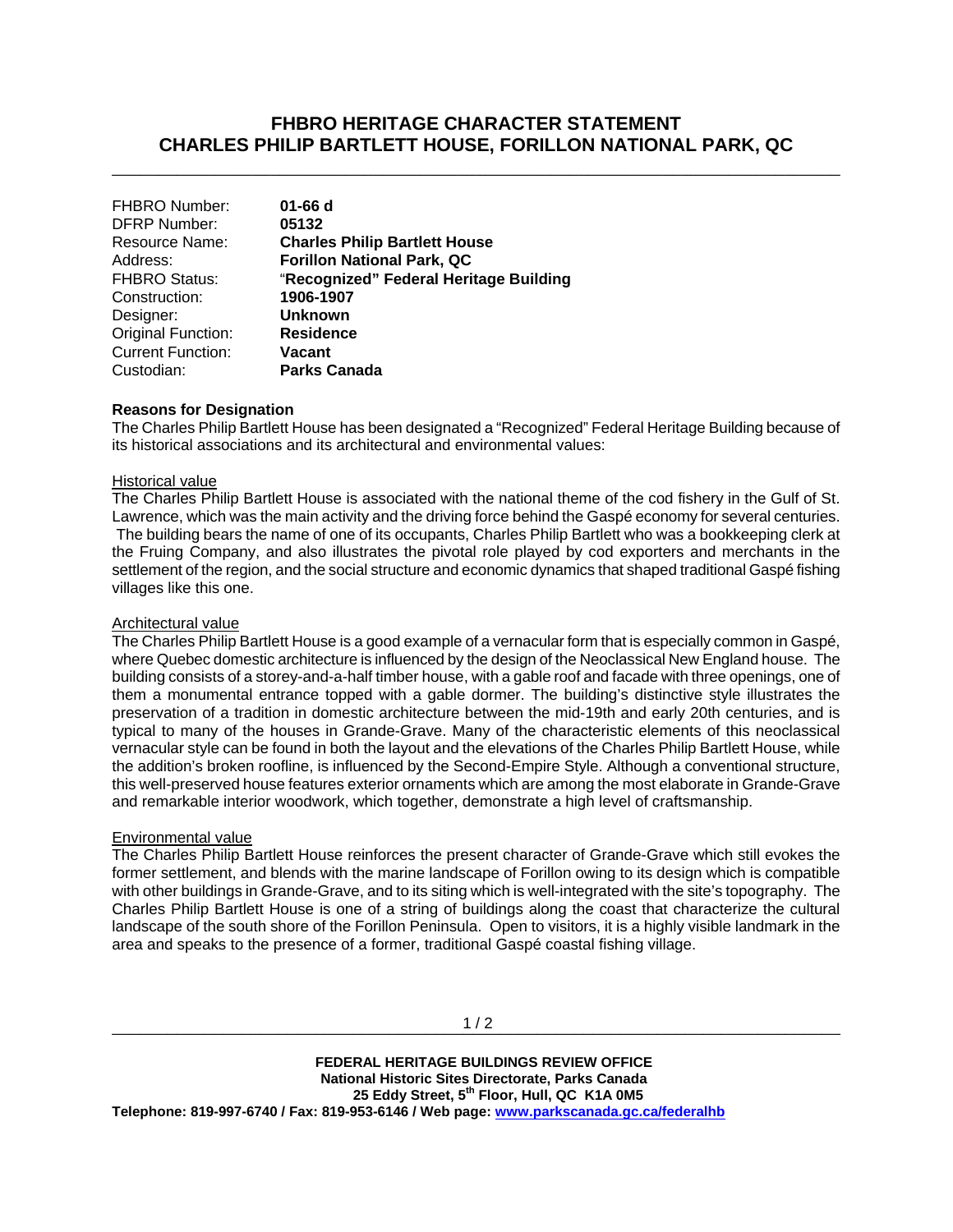# **FHBRO HERITAGE CHARACTER STATEMENT CHARLES PHILIP BARTLETT HOUSE, FORILLON NATIONAL PARK, QC**

\_\_\_\_\_\_\_\_\_\_\_\_\_\_\_\_\_\_\_\_\_\_\_\_\_\_\_\_\_\_\_\_\_\_\_\_\_\_\_\_\_\_\_\_\_\_\_\_\_\_\_\_\_\_\_\_\_\_\_\_\_\_\_\_\_\_\_\_\_\_\_\_\_\_\_\_\_\_

| <b>FHBRO Number:</b>     | $01 - 66$ d                            |
|--------------------------|----------------------------------------|
| <b>DFRP Number:</b>      | 05132                                  |
| Resource Name:           | <b>Charles Philip Bartlett House</b>   |
| Address:                 | <b>Forillon National Park, QC</b>      |
| <b>FHBRO Status:</b>     | "Recognized" Federal Heritage Building |
| Construction:            | 1906-1907                              |
| Designer:                | <b>Unknown</b>                         |
| Original Function:       | <b>Residence</b>                       |
| <b>Current Function:</b> | <b>Vacant</b>                          |
| Custodian:               | <b>Parks Canada</b>                    |

### **Reasons for Designation**

The Charles Philip Bartlett House has been designated a "Recognized" Federal Heritage Building because of its historical associations and its architectural and environmental values:

### Historical value

The Charles Philip Bartlett House is associated with the national theme of the cod fishery in the Gulf of St. Lawrence, which was the main activity and the driving force behind the Gaspé economy for several centuries. The building bears the name of one of its occupants, Charles Philip Bartlett who was a bookkeeping clerk at the Fruing Company, and also illustrates the pivotal role played by cod exporters and merchants in the settlement of the region, and the social structure and economic dynamics that shaped traditional Gaspé fishing villages like this one.

### Architectural value

The Charles Philip Bartlett House is a good example of a vernacular form that is especially common in Gaspé, where Quebec domestic architecture is influenced by the design of the Neoclassical New England house. The building consists of a storey-and-a-half timber house, with a gable roof and facade with three openings, one of them a monumental entrance topped with a gable dormer. The building's distinctive style illustrates the preservation of a tradition in domestic architecture between the mid-19th and early 20th centuries, and is typical to many of the houses in Grande-Grave. Many of the characteristic elements of this neoclassical vernacular style can be found in both the layout and the elevations of the Charles Philip Bartlett House, while the addition's broken roofline, is influenced by the Second-Empire Style. Although a conventional structure, this well-preserved house features exterior ornaments which are among the most elaborate in Grande-Grave and remarkable interior woodwork, which together, demonstrate a high level of craftsmanship.

## Environmental value

The Charles Philip Bartlett House reinforces the present character of Grande-Grave which still evokes the former settlement, and blends with the marine landscape of Forillon owing to its design which is compatible with other buildings in Grande-Grave, and to its siting which is well-integrated with the site's topography. The Charles Philip Bartlett House is one of a string of buildings along the coast that characterize the cultural landscape of the south shore of the Forillon Peninsula. Open to visitors, it is a highly visible landmark in the area and speaks to the presence of a former, traditional Gaspé coastal fishing village.

 **FEDERAL HERITAGE BUILDINGS REVIEW OFFICE National Historic Sites Directorate, Parks Canada 25 Eddy Street, 5th Floor, Hull, QC K1A 0M5 Telephone: 819-997-6740 / Fax: 819-953-6146 / Web page: www.parkscanada.gc.ca/federalhb**